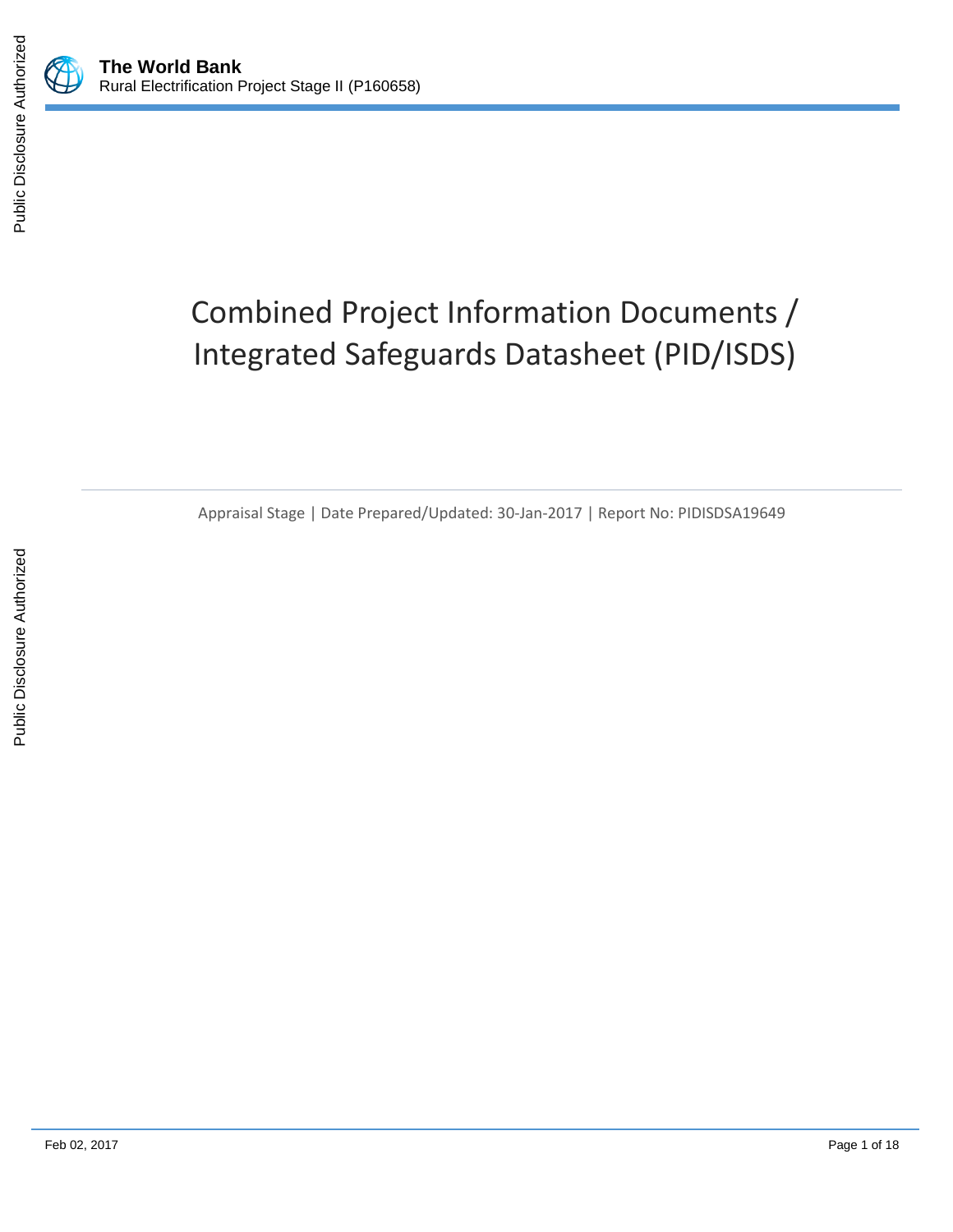

Public Disclosure Authorized

# Combined Project Information Documents / Integrated Safeguards Datasheet (PID/ISDS)

Appraisal Stage | Date Prepared/Updated: 30-Jan-2017 | Report No: PIDISDSA19649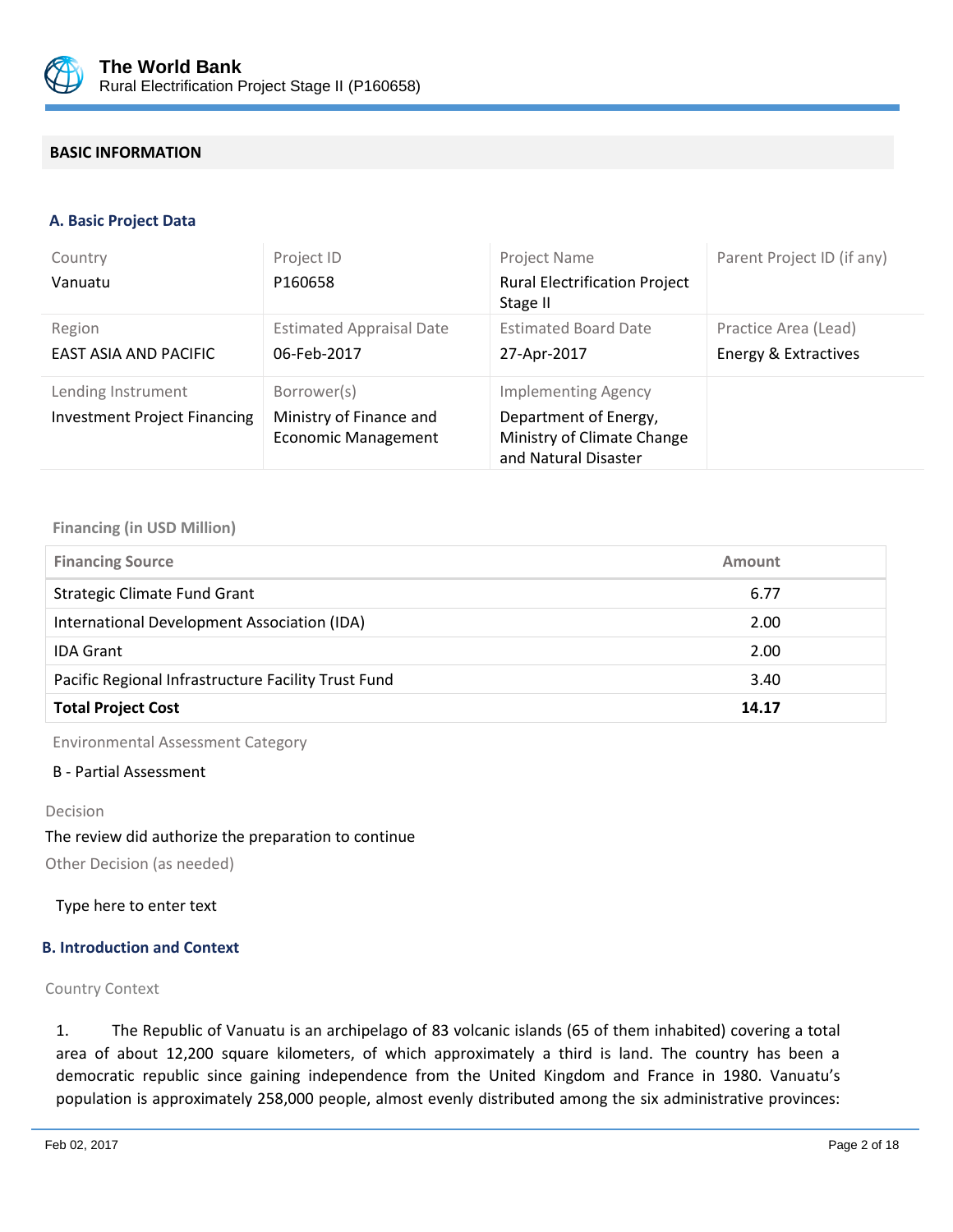

# **BASIC INFORMATION**

#### **A. Basic Project Data**

| Country<br>Vanuatu                                        | Project ID<br>P160658                                                | Project Name<br><b>Rural Electrification Project</b><br>Stage II                                          | Parent Project ID (if any)                   |
|-----------------------------------------------------------|----------------------------------------------------------------------|-----------------------------------------------------------------------------------------------------------|----------------------------------------------|
| Region<br>EAST ASIA AND PACIFIC                           | <b>Estimated Appraisal Date</b><br>06-Feb-2017                       | <b>Estimated Board Date</b><br>27-Apr-2017                                                                | Practice Area (Lead)<br>Energy & Extractives |
| Lending Instrument<br><b>Investment Project Financing</b> | Borrower(s)<br>Ministry of Finance and<br><b>Economic Management</b> | <b>Implementing Agency</b><br>Department of Energy,<br>Ministry of Climate Change<br>and Natural Disaster |                                              |

#### **Financing (in USD Million)**

| <b>Financing Source</b>                             | Amount |  |
|-----------------------------------------------------|--------|--|
| Strategic Climate Fund Grant                        | 6.77   |  |
| International Development Association (IDA)         | 2.00   |  |
| <b>IDA Grant</b>                                    | 2.00   |  |
| Pacific Regional Infrastructure Facility Trust Fund | 3.40   |  |
| <b>Total Project Cost</b>                           | 14.17  |  |

Environmental Assessment Category

#### B - Partial Assessment

#### Decision

#### The review did authorize the preparation to continue

Other Decision (as needed)

Type here to enter text

#### **B. Introduction and Context**

#### Country Context

1. The Republic of Vanuatu is an archipelago of 83 volcanic islands (65 of them inhabited) covering a total area of about 12,200 square kilometers, of which approximately a third is land. The country has been a democratic republic since gaining independence from the United Kingdom and France in 1980. Vanuatu's population is approximately 258,000 people, almost evenly distributed among the six administrative provinces: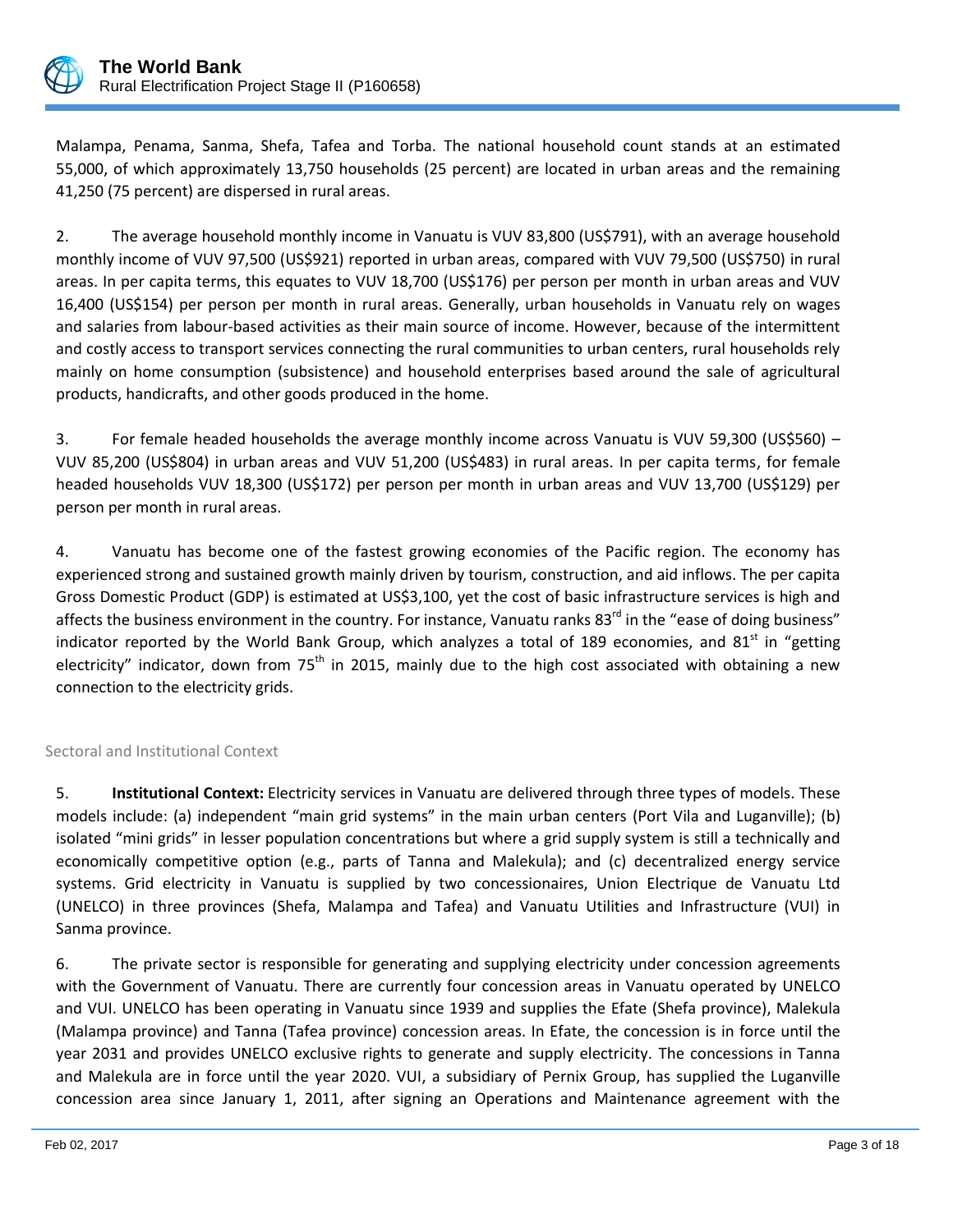

Malampa, Penama, Sanma, Shefa, Tafea and Torba. The national household count stands at an estimated 55,000, of which approximately 13,750 households (25 percent) are located in urban areas and the remaining 41,250 (75 percent) are dispersed in rural areas.

2. The average household monthly income in Vanuatu is VUV 83,800 (US\$791), with an average household monthly income of VUV 97,500 (US\$921) reported in urban areas, compared with VUV 79,500 (US\$750) in rural areas. In per capita terms, this equates to VUV 18,700 (US\$176) per person per month in urban areas and VUV 16,400 (US\$154) per person per month in rural areas. Generally, urban households in Vanuatu rely on wages and salaries from labour-based activities as their main source of income. However, because of the intermittent and costly access to transport services connecting the rural communities to urban centers, rural households rely mainly on home consumption (subsistence) and household enterprises based around the sale of agricultural products, handicrafts, and other goods produced in the home.

3. For female headed households the average monthly income across Vanuatu is VUV 59,300 (US\$560) – VUV 85,200 (US\$804) in urban areas and VUV 51,200 (US\$483) in rural areas. In per capita terms, for female headed households VUV 18,300 (US\$172) per person per month in urban areas and VUV 13,700 (US\$129) per person per month in rural areas.

4. Vanuatu has become one of the fastest growing economies of the Pacific region. The economy has experienced strong and sustained growth mainly driven by tourism, construction, and aid inflows. The per capita Gross Domestic Product (GDP) is estimated at US\$3,100, yet the cost of basic infrastructure services is high and affects the business environment in the country. For instance, Vanuatu ranks 83<sup>rd</sup> in the "ease of doing business" indicator reported by the World Bank Group, which analyzes a total of 189 economies, and 81<sup>st</sup> in "getting electricity" indicator, down from 75<sup>th</sup> in 2015, mainly due to the high cost associated with obtaining a new connection to the electricity grids.

#### Sectoral and Institutional Context

5. **Institutional Context:** Electricity services in Vanuatu are delivered through three types of models. These models include: (a) independent "main grid systems" in the main urban centers (Port Vila and Luganville); (b) isolated "mini grids" in lesser population concentrations but where a grid supply system is still a technically and economically competitive option (e.g., parts of Tanna and Malekula); and (c) decentralized energy service systems. Grid electricity in Vanuatu is supplied by two concessionaires, Union Electrique de Vanuatu Ltd (UNELCO) in three provinces (Shefa, Malampa and Tafea) and Vanuatu Utilities and Infrastructure (VUI) in Sanma province.

6. The private sector is responsible for generating and supplying electricity under concession agreements with the Government of Vanuatu. There are currently four concession areas in Vanuatu operated by UNELCO and VUI. UNELCO has been operating in Vanuatu since 1939 and supplies the Efate (Shefa province), Malekula (Malampa province) and Tanna (Tafea province) concession areas. In Efate, the concession is in force until the year 2031 and provides UNELCO exclusive rights to generate and supply electricity. The concessions in Tanna and Malekula are in force until the year 2020. VUI, a subsidiary of Pernix Group, has supplied the Luganville concession area since January 1, 2011, after signing an Operations and Maintenance agreement with the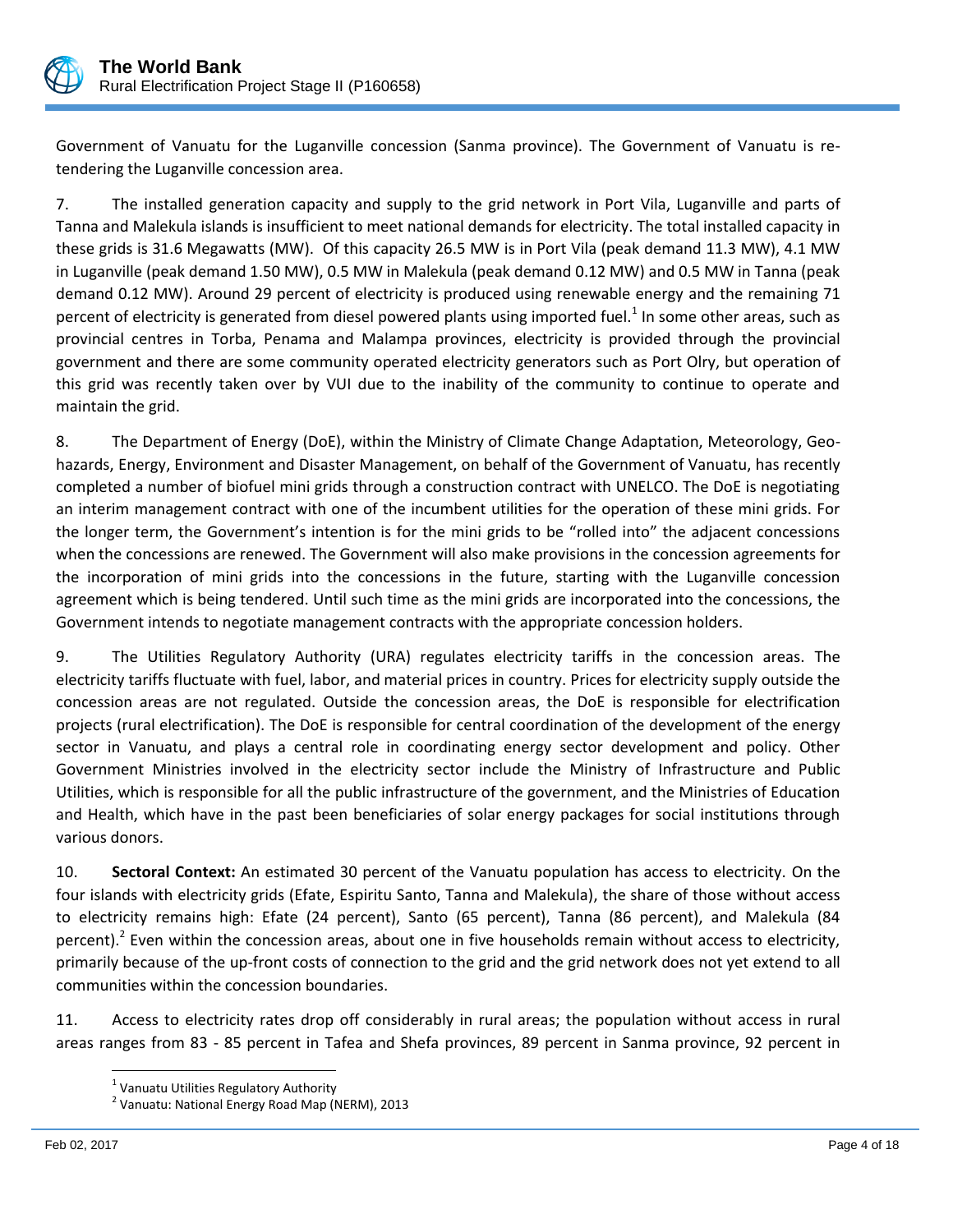

Government of Vanuatu for the Luganville concession (Sanma province). The Government of Vanuatu is retendering the Luganville concession area.

7. The installed generation capacity and supply to the grid network in Port Vila, Luganville and parts of Tanna and Malekula islands is insufficient to meet national demands for electricity. The total installed capacity in these grids is 31.6 Megawatts (MW). Of this capacity 26.5 MW is in Port Vila (peak demand 11.3 MW), 4.1 MW in Luganville (peak demand 1.50 MW), 0.5 MW in Malekula (peak demand 0.12 MW) and 0.5 MW in Tanna (peak demand 0.12 MW). Around 29 percent of electricity is produced using renewable energy and the remaining 71 percent of electricity is generated from diesel powered plants using imported fuel.<sup>1</sup> In some other areas, such as provincial centres in Torba, Penama and Malampa provinces, electricity is provided through the provincial government and there are some community operated electricity generators such as Port Olry, but operation of this grid was recently taken over by VUI due to the inability of the community to continue to operate and maintain the grid.

8. The Department of Energy (DoE), within the Ministry of Climate Change Adaptation, Meteorology, Geohazards, Energy, Environment and Disaster Management, on behalf of the Government of Vanuatu, has recently completed a number of biofuel mini grids through a construction contract with UNELCO. The DoE is negotiating an interim management contract with one of the incumbent utilities for the operation of these mini grids. For the longer term, the Government's intention is for the mini grids to be "rolled into" the adjacent concessions when the concessions are renewed. The Government will also make provisions in the concession agreements for the incorporation of mini grids into the concessions in the future, starting with the Luganville concession agreement which is being tendered. Until such time as the mini grids are incorporated into the concessions, the Government intends to negotiate management contracts with the appropriate concession holders.

9. The Utilities Regulatory Authority (URA) regulates electricity tariffs in the concession areas. The electricity tariffs fluctuate with fuel, labor, and material prices in country. Prices for electricity supply outside the concession areas are not regulated. Outside the concession areas, the DoE is responsible for electrification projects (rural electrification). The DoE is responsible for central coordination of the development of the energy sector in Vanuatu, and plays a central role in coordinating energy sector development and policy. Other Government Ministries involved in the electricity sector include the Ministry of Infrastructure and Public Utilities, which is responsible for all the public infrastructure of the government, and the Ministries of Education and Health, which have in the past been beneficiaries of solar energy packages for social institutions through various donors.

10. **Sectoral Context:** An estimated 30 percent of the Vanuatu population has access to electricity. On the four islands with electricity grids (Efate, Espiritu Santo, Tanna and Malekula), the share of those without access to electricity remains high: Efate (24 percent), Santo (65 percent), Tanna (86 percent), and Malekula (84 percent).<sup>2</sup> Even within the concession areas, about one in five households remain without access to electricity, primarily because of the up-front costs of connection to the grid and the grid network does not yet extend to all communities within the concession boundaries.

11. Access to electricity rates drop off considerably in rural areas; the population without access in rural areas ranges from 83 - 85 percent in Tafea and Shefa provinces, 89 percent in Sanma province, 92 percent in

<sup>&</sup>lt;u>.</u><br><sup>1</sup> Vanuatu Utilities Regulatory Authority

<sup>&</sup>lt;sup>2</sup> Vanuatu: National Energy Road Map (NERM), 2013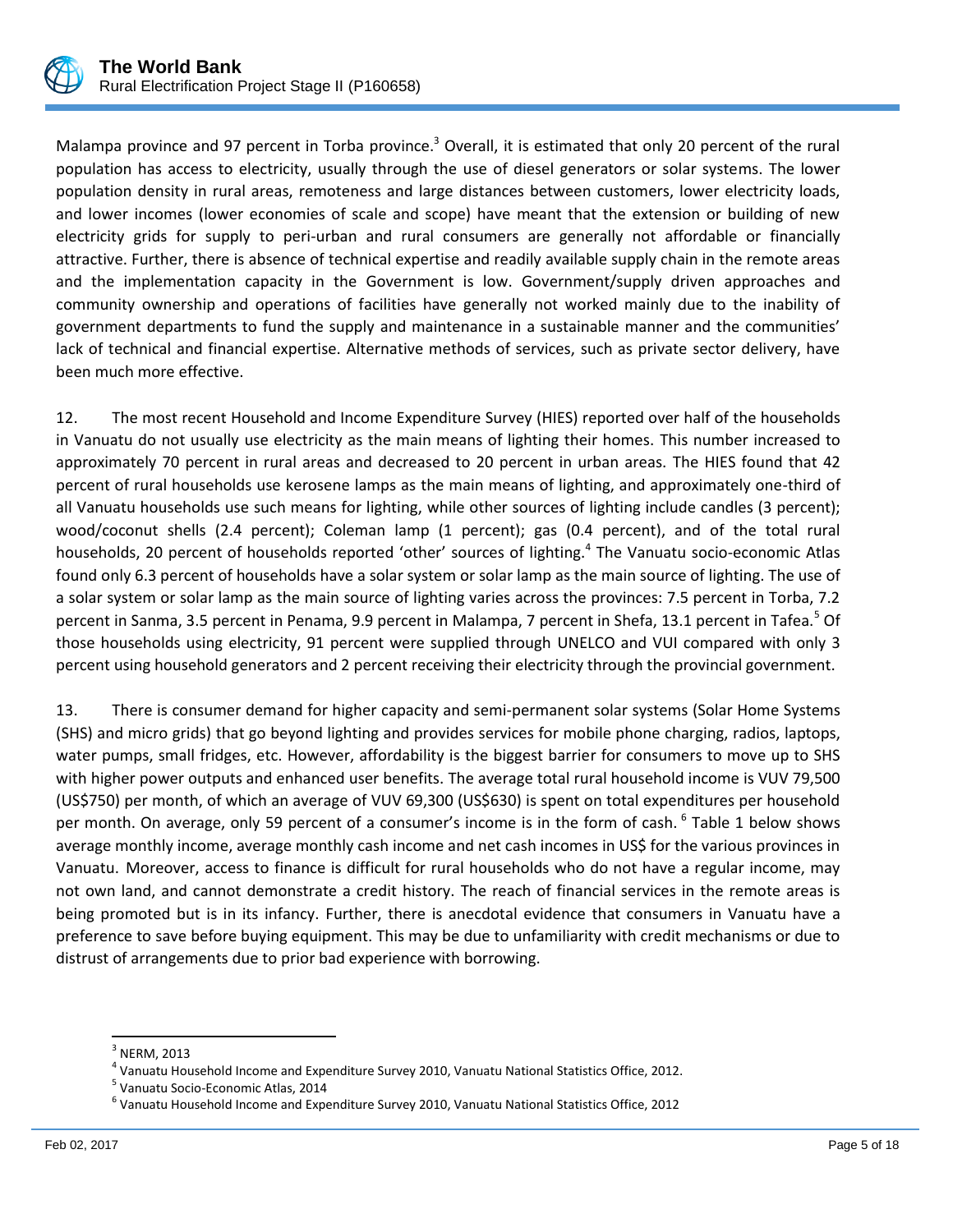

Malampa province and 97 percent in Torba province.<sup>3</sup> Overall, it is estimated that only 20 percent of the rural population has access to electricity, usually through the use of diesel generators or solar systems. The lower population density in rural areas, remoteness and large distances between customers, lower electricity loads, and lower incomes (lower economies of scale and scope) have meant that the extension or building of new electricity grids for supply to peri-urban and rural consumers are generally not affordable or financially attractive. Further, there is absence of technical expertise and readily available supply chain in the remote areas and the implementation capacity in the Government is low. Government/supply driven approaches and community ownership and operations of facilities have generally not worked mainly due to the inability of government departments to fund the supply and maintenance in a sustainable manner and the communities' lack of technical and financial expertise. Alternative methods of services, such as private sector delivery, have been much more effective.

12. The most recent Household and Income Expenditure Survey (HIES) reported over half of the households in Vanuatu do not usually use electricity as the main means of lighting their homes. This number increased to approximately 70 percent in rural areas and decreased to 20 percent in urban areas. The HIES found that 42 percent of rural households use kerosene lamps as the main means of lighting, and approximately one-third of all Vanuatu households use such means for lighting, while other sources of lighting include candles (3 percent); wood/coconut shells (2.4 percent); Coleman lamp (1 percent); gas (0.4 percent), and of the total rural households, 20 percent of households reported 'other' sources of lighting.<sup>4</sup> The Vanuatu socio-economic Atlas found only 6.3 percent of households have a solar system or solar lamp as the main source of lighting. The use of a solar system or solar lamp as the main source of lighting varies across the provinces: 7.5 percent in Torba, 7.2 percent in Sanma, 3.5 percent in Penama, 9.9 percent in Malampa, 7 percent in Shefa, 13.1 percent in Tafea.<sup>5</sup> Of those households using electricity, 91 percent were supplied through UNELCO and VUI compared with only 3 percent using household generators and 2 percent receiving their electricity through the provincial government.

13. There is consumer demand for higher capacity and semi-permanent solar systems (Solar Home Systems (SHS) and micro grids) that go beyond lighting and provides services for mobile phone charging, radios, laptops, water pumps, small fridges, etc. However, affordability is the biggest barrier for consumers to move up to SHS with higher power outputs and enhanced user benefits. The average total rural household income is VUV 79,500 (US\$750) per month, of which an average of VUV 69,300 (US\$630) is spent on total expenditures per household per month. On average, only 59 percent of a consumer's income is in the form of cash.  $^6$  Table 1 below shows average monthly income, average monthly cash income and net cash incomes in US\$ for the various provinces in Vanuatu. Moreover, access to finance is difficult for rural households who do not have a regular income, may not own land, and cannot demonstrate a credit history. The reach of financial services in the remote areas is being promoted but is in its infancy. Further, there is anecdotal evidence that consumers in Vanuatu have a preference to save before buying equipment. This may be due to unfamiliarity with credit mechanisms or due to distrust of arrangements due to prior bad experience with borrowing.

 $\overline{\phantom{a}}$ 

 $^3$  NERM, 2013

<sup>4</sup> Vanuatu Household Income and Expenditure Survey 2010, Vanuatu National Statistics Office, 2012.

<sup>&</sup>lt;sup>5</sup> Vanuatu Socio-Economic Atlas, 2014

<sup>&</sup>lt;sup>6</sup> Vanuatu Household Income and Expenditure Survey 2010, Vanuatu National Statistics Office, 2012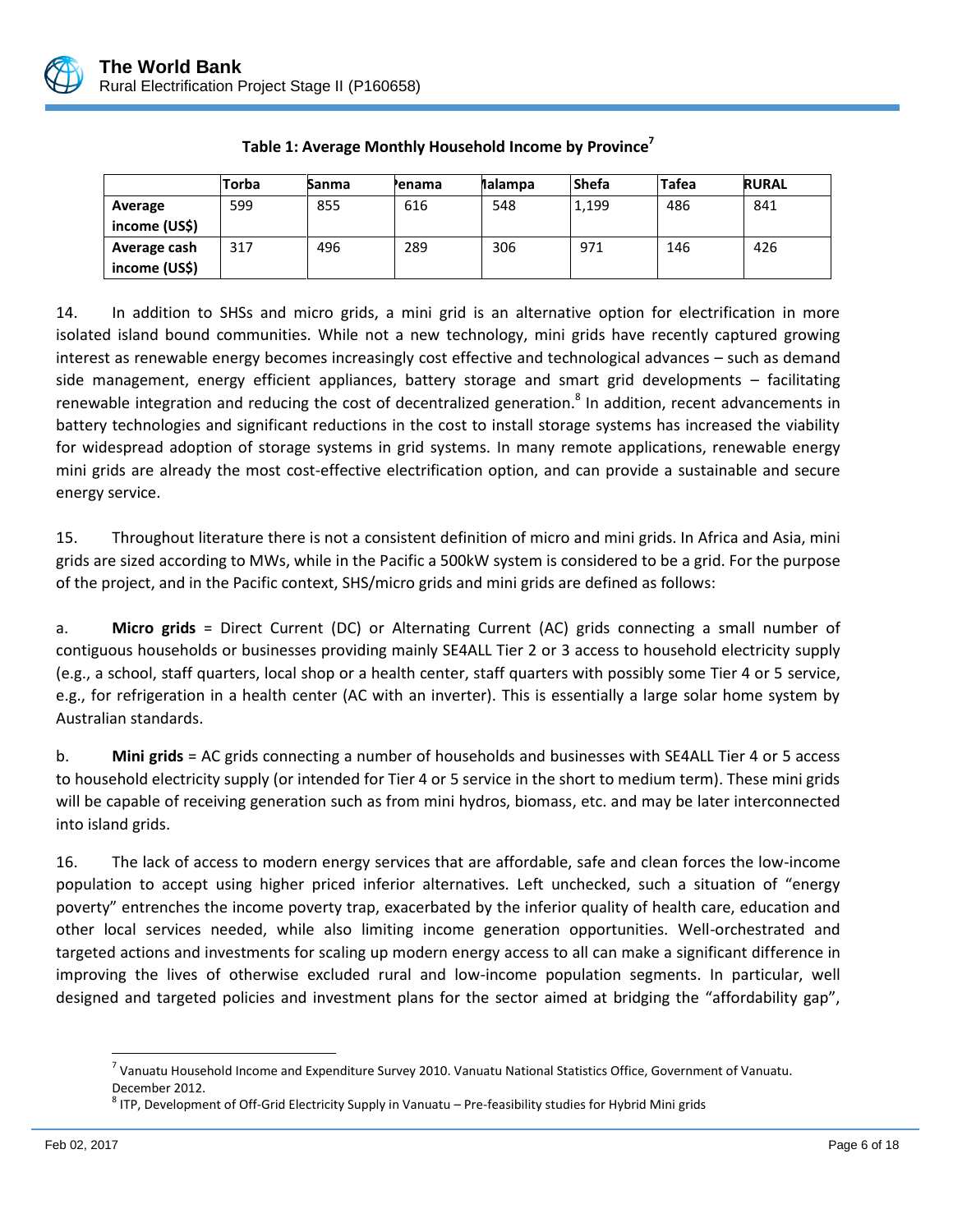

|               | Torba | Sanma | Penama | <b>Malampa</b> | <b>Shefa</b> | Tafea | <b>RURAL</b> |
|---------------|-------|-------|--------|----------------|--------------|-------|--------------|
| Average       | 599   | 855   | 616    | 548            | 1,199        | 486   | 841          |
| income (US\$) |       |       |        |                |              |       |              |
| Average cash  | 317   | 496   | 289    | 306            | 971          | 146   | 426          |
| income (US\$) |       |       |        |                |              |       |              |

# **Table 1: Average Monthly Household Income by Province<sup>7</sup>**

14. In addition to SHSs and micro grids, a mini grid is an alternative option for electrification in more isolated island bound communities. While not a new technology, mini grids have recently captured growing interest as renewable energy becomes increasingly cost effective and technological advances – such as demand side management, energy efficient appliances, battery storage and smart grid developments – facilitating renewable integration and reducing the cost of decentralized generation.<sup>8</sup> In addition, recent advancements in battery technologies and significant reductions in the cost to install storage systems has increased the viability for widespread adoption of storage systems in grid systems. In many remote applications, renewable energy mini grids are already the most cost-effective electrification option, and can provide a sustainable and secure energy service.

15. Throughout literature there is not a consistent definition of micro and mini grids. In Africa and Asia, mini grids are sized according to MWs, while in the Pacific a 500kW system is considered to be a grid. For the purpose of the project, and in the Pacific context, SHS/micro grids and mini grids are defined as follows:

a. **Micro grids** = Direct Current (DC) or Alternating Current (AC) grids connecting a small number of contiguous households or businesses providing mainly SE4ALL Tier 2 or 3 access to household electricity supply (e.g., a school, staff quarters, local shop or a health center, staff quarters with possibly some Tier 4 or 5 service, e.g., for refrigeration in a health center (AC with an inverter). This is essentially a large solar home system by Australian standards.

b. **Mini grids** = AC grids connecting a number of households and businesses with SE4ALL Tier 4 or 5 access to household electricity supply (or intended for Tier 4 or 5 service in the short to medium term). These mini grids will be capable of receiving generation such as from mini hydros, biomass, etc. and may be later interconnected into island grids.

16. The lack of access to modern energy services that are affordable, safe and clean forces the low-income population to accept using higher priced inferior alternatives. Left unchecked, such a situation of "energy poverty" entrenches the income poverty trap, exacerbated by the inferior quality of health care, education and other local services needed, while also limiting income generation opportunities. Well-orchestrated and targeted actions and investments for scaling up modern energy access to all can make a significant difference in improving the lives of otherwise excluded rural and low-income population segments. In particular, well designed and targeted policies and investment plans for the sector aimed at bridging the "affordability gap",

 $\overline{\phantom{a}}$ 

 $^7$  Vanuatu Household Income and Expenditure Survey 2010. Vanuatu National Statistics Office, Government of Vanuatu. December 2012.

 $^8$  ITP, Development of Off-Grid Electricity Supply in Vanuatu – Pre-feasibility studies for Hybrid Mini grids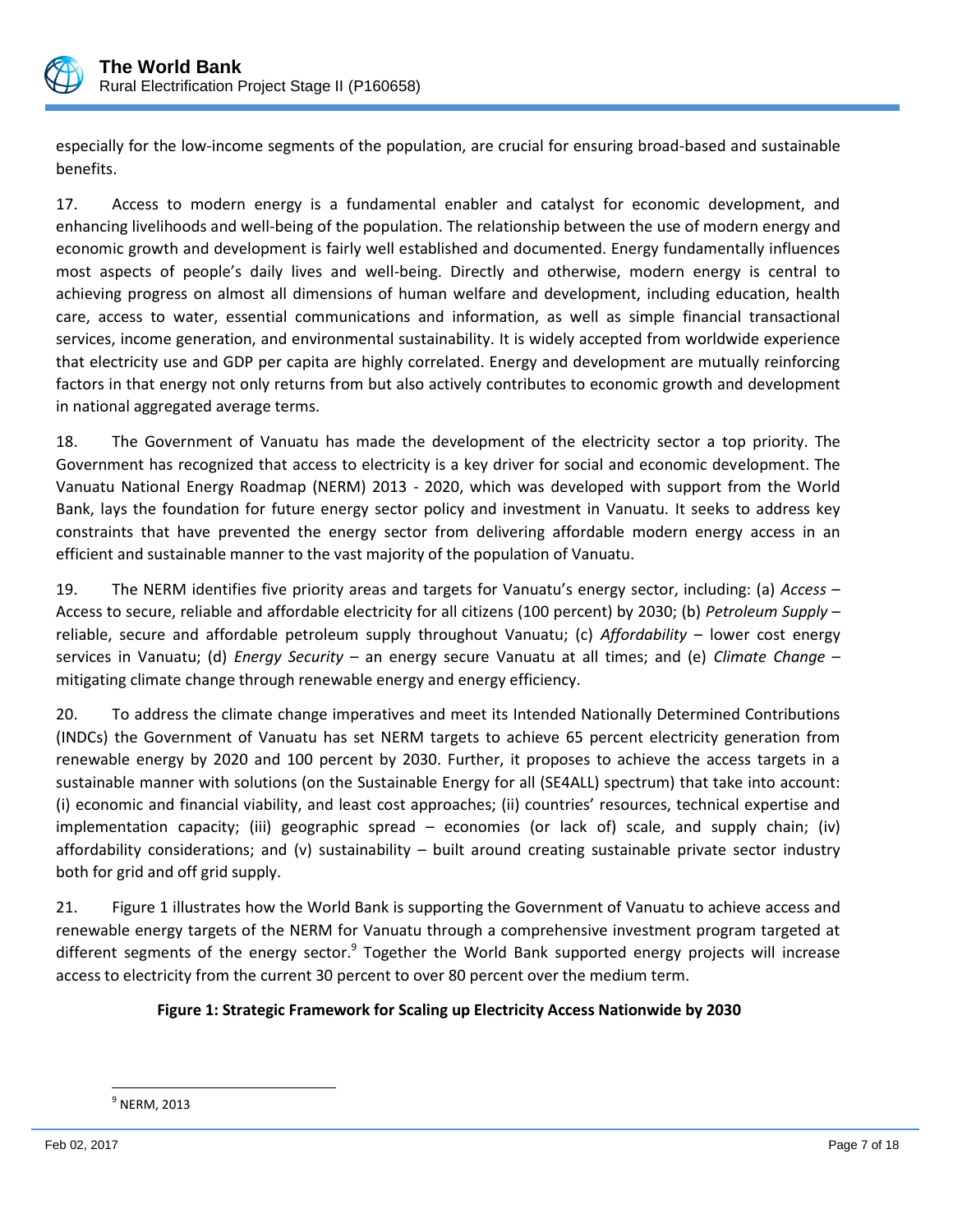

especially for the low-income segments of the population, are crucial for ensuring broad-based and sustainable benefits.

17. Access to modern energy is a fundamental enabler and catalyst for economic development, and enhancing livelihoods and well-being of the population. The relationship between the use of modern energy and economic growth and development is fairly well established and documented. Energy fundamentally influences most aspects of people's daily lives and well-being. Directly and otherwise, modern energy is central to achieving progress on almost all dimensions of human welfare and development, including education, health care, access to water, essential communications and information, as well as simple financial transactional services, income generation, and environmental sustainability. It is widely accepted from worldwide experience that electricity use and GDP per capita are highly correlated. Energy and development are mutually reinforcing factors in that energy not only returns from but also actively contributes to economic growth and development in national aggregated average terms.

18. The Government of Vanuatu has made the development of the electricity sector a top priority. The Government has recognized that access to electricity is a key driver for social and economic development. The Vanuatu National Energy Roadmap (NERM) 2013 - 2020, which was developed with support from the World Bank, lays the foundation for future energy sector policy and investment in Vanuatu. It seeks to address key constraints that have prevented the energy sector from delivering affordable modern energy access in an efficient and sustainable manner to the vast majority of the population of Vanuatu.

19. The NERM identifies five priority areas and targets for Vanuatu's energy sector, including: (a) *Access* – Access to secure, reliable and affordable electricity for all citizens (100 percent) by 2030; (b) *Petroleum Supply* – reliable, secure and affordable petroleum supply throughout Vanuatu; (c) *Affordability* – lower cost energy services in Vanuatu; (d) *Energy Security* – an energy secure Vanuatu at all times; and (e) *Climate Change* – mitigating climate change through renewable energy and energy efficiency.

20. To address the climate change imperatives and meet its Intended Nationally Determined Contributions (INDCs) the Government of Vanuatu has set NERM targets to achieve 65 percent electricity generation from renewable energy by 2020 and 100 percent by 2030. Further, it proposes to achieve the access targets in a sustainable manner with solutions (on the Sustainable Energy for all (SE4ALL) spectrum) that take into account: (i) economic and financial viability, and least cost approaches; (ii) countries' resources, technical expertise and implementation capacity; (iii) geographic spread – economies (or lack of) scale, and supply chain; (iv) affordability considerations; and (v) sustainability – built around creating sustainable private sector industry both for grid and off grid supply.

21. Figure 1 illustrates how the World Bank is supporting the Government of Vanuatu to achieve access and renewable energy targets of the NERM for Vanuatu through a comprehensive investment program targeted at different segments of the energy sector.<sup>9</sup> Together the World Bank supported energy projects will increase access to electricity from the current 30 percent to over 80 percent over the medium term.

# **Figure 1: Strategic Framework for Scaling up Electricity Access Nationwide by 2030**

l  $^9$  NERM, 2013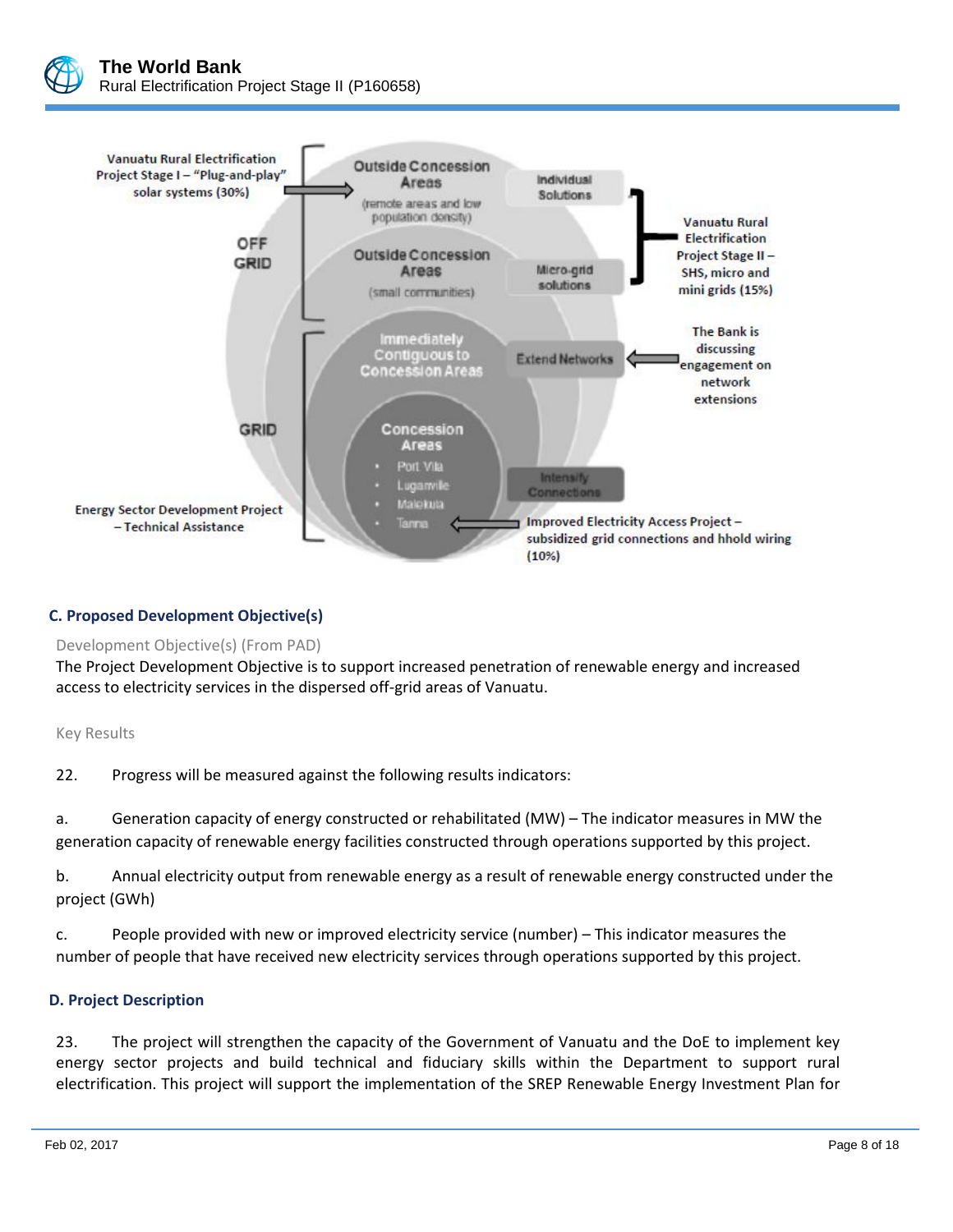



# **C. Proposed Development Objective(s)**

#### Development Objective(s) (From PAD)

The Project Development Objective is to support increased penetration of renewable energy and increased access to electricity services in the dispersed off-grid areas of Vanuatu.

#### Key Results

22. Progress will be measured against the following results indicators:

a. Generation capacity of energy constructed or rehabilitated (MW) – The indicator measures in MW the generation capacity of renewable energy facilities constructed through operations supported by this project.

b. Annual electricity output from renewable energy as a result of renewable energy constructed under the project (GWh)

c. People provided with new or improved electricity service (number) – This indicator measures the number of people that have received new electricity services through operations supported by this project.

# **D. Project Description**

23. The project will strengthen the capacity of the Government of Vanuatu and the DoE to implement key energy sector projects and build technical and fiduciary skills within the Department to support rural electrification. This project will support the implementation of the SREP Renewable Energy Investment Plan for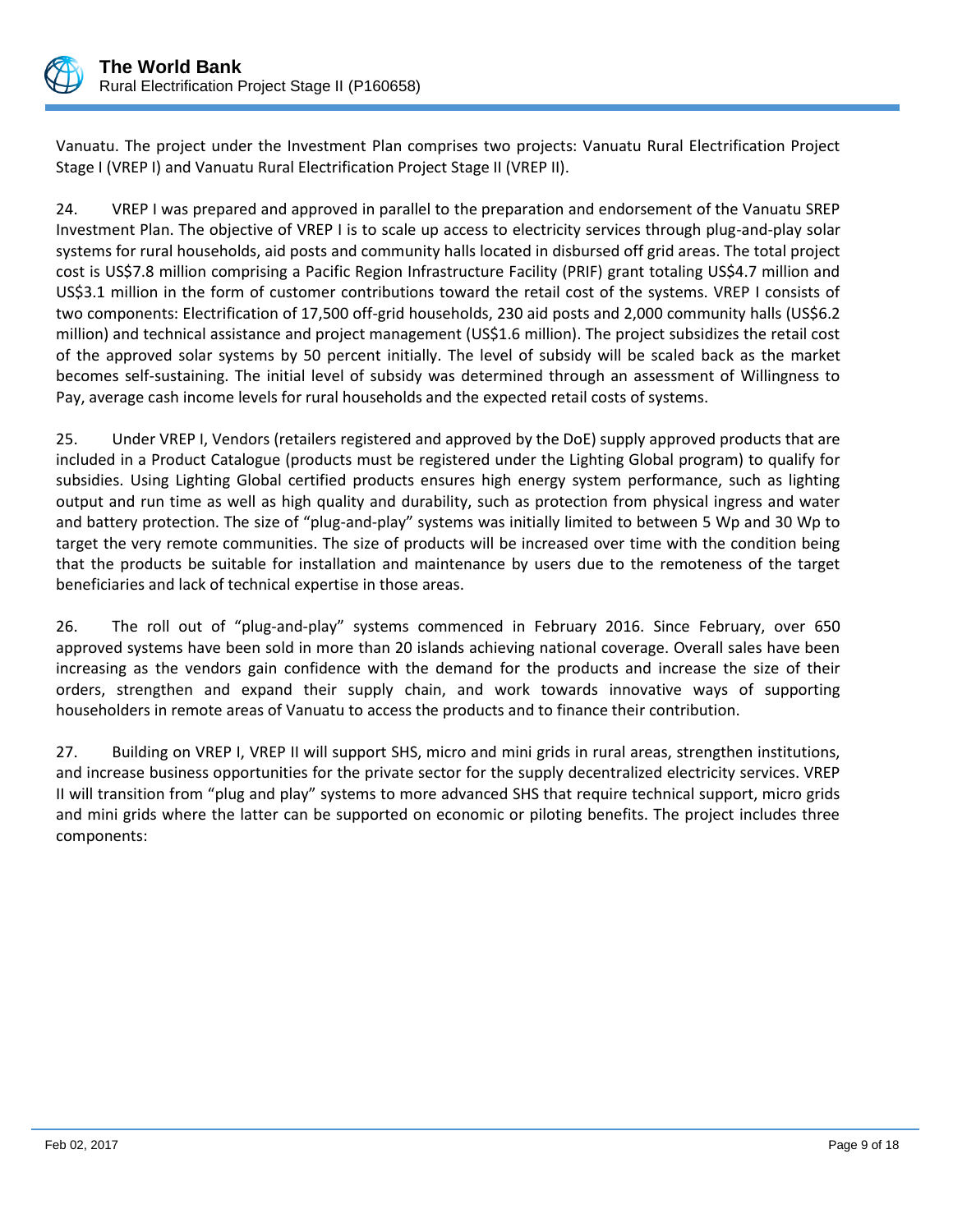

Vanuatu. The project under the Investment Plan comprises two projects: Vanuatu Rural Electrification Project Stage I (VREP I) and Vanuatu Rural Electrification Project Stage II (VREP II).

24. VREP I was prepared and approved in parallel to the preparation and endorsement of the Vanuatu SREP Investment Plan. The objective of VREP I is to scale up access to electricity services through plug-and-play solar systems for rural households, aid posts and community halls located in disbursed off grid areas. The total project cost is US\$7.8 million comprising a Pacific Region Infrastructure Facility (PRIF) grant totaling US\$4.7 million and US\$3.1 million in the form of customer contributions toward the retail cost of the systems. VREP I consists of two components: Electrification of 17,500 off-grid households, 230 aid posts and 2,000 community halls (US\$6.2 million) and technical assistance and project management (US\$1.6 million). The project subsidizes the retail cost of the approved solar systems by 50 percent initially. The level of subsidy will be scaled back as the market becomes self-sustaining. The initial level of subsidy was determined through an assessment of Willingness to Pay, average cash income levels for rural households and the expected retail costs of systems.

25. Under VREP I, Vendors (retailers registered and approved by the DoE) supply approved products that are included in a Product Catalogue (products must be registered under the Lighting Global program) to qualify for subsidies. Using Lighting Global certified products ensures high energy system performance, such as lighting output and run time as well as high quality and durability, such as protection from physical ingress and water and battery protection. The size of "plug-and-play" systems was initially limited to between 5 Wp and 30 Wp to target the very remote communities. The size of products will be increased over time with the condition being that the products be suitable for installation and maintenance by users due to the remoteness of the target beneficiaries and lack of technical expertise in those areas.

26. The roll out of "plug-and-play" systems commenced in February 2016. Since February, over 650 approved systems have been sold in more than 20 islands achieving national coverage. Overall sales have been increasing as the vendors gain confidence with the demand for the products and increase the size of their orders, strengthen and expand their supply chain, and work towards innovative ways of supporting householders in remote areas of Vanuatu to access the products and to finance their contribution.

27. Building on VREP I, VREP II will support SHS, micro and mini grids in rural areas, strengthen institutions, and increase business opportunities for the private sector for the supply decentralized electricity services. VREP II will transition from "plug and play" systems to more advanced SHS that require technical support, micro grids and mini grids where the latter can be supported on economic or piloting benefits. The project includes three components: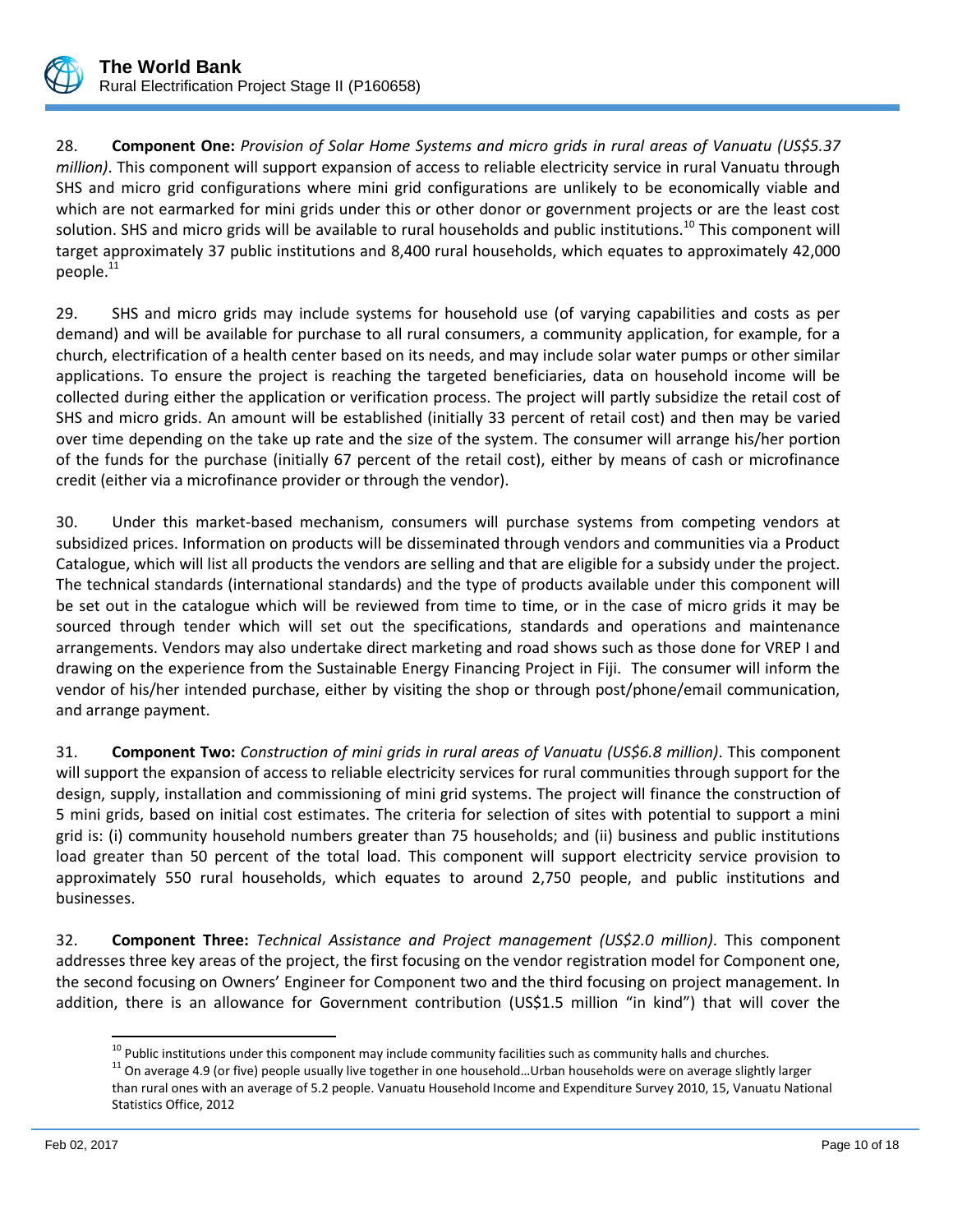

28. **Component One:** *Provision of Solar Home Systems and micro grids in rural areas of Vanuatu (US\$5.37 million)*. This component will support expansion of access to reliable electricity service in rural Vanuatu through SHS and micro grid configurations where mini grid configurations are unlikely to be economically viable and which are not earmarked for mini grids under this or other donor or government projects or are the least cost solution. SHS and micro grids will be available to rural households and public institutions.<sup>10</sup> This component will target approximately 37 public institutions and 8,400 rural households, which equates to approximately 42,000 people.<sup>11</sup>

29. SHS and micro grids may include systems for household use (of varying capabilities and costs as per demand) and will be available for purchase to all rural consumers, a community application, for example, for a church, electrification of a health center based on its needs, and may include solar water pumps or other similar applications. To ensure the project is reaching the targeted beneficiaries, data on household income will be collected during either the application or verification process. The project will partly subsidize the retail cost of SHS and micro grids. An amount will be established (initially 33 percent of retail cost) and then may be varied over time depending on the take up rate and the size of the system. The consumer will arrange his/her portion of the funds for the purchase (initially 67 percent of the retail cost), either by means of cash or microfinance credit (either via a microfinance provider or through the vendor).

30. Under this market-based mechanism, consumers will purchase systems from competing vendors at subsidized prices. Information on products will be disseminated through vendors and communities via a Product Catalogue, which will list all products the vendors are selling and that are eligible for a subsidy under the project. The technical standards (international standards) and the type of products available under this component will be set out in the catalogue which will be reviewed from time to time, or in the case of micro grids it may be sourced through tender which will set out the specifications, standards and operations and maintenance arrangements. Vendors may also undertake direct marketing and road shows such as those done for VREP I and drawing on the experience from the Sustainable Energy Financing Project in Fiji. The consumer will inform the vendor of his/her intended purchase, either by visiting the shop or through post/phone/email communication, and arrange payment.

31. **Component Two:** *Construction of mini grids in rural areas of Vanuatu (US\$6.8 million)*. This component will support the expansion of access to reliable electricity services for rural communities through support for the design, supply, installation and commissioning of mini grid systems. The project will finance the construction of 5 mini grids, based on initial cost estimates. The criteria for selection of sites with potential to support a mini grid is: (i) community household numbers greater than 75 households; and (ii) business and public institutions load greater than 50 percent of the total load. This component will support electricity service provision to approximately 550 rural households, which equates to around 2,750 people, and public institutions and businesses.

32. **Component Three:** *Technical Assistance and Project management (US\$2.0 million)*. This component addresses three key areas of the project, the first focusing on the vendor registration model for Component one, the second focusing on Owners' Engineer for Component two and the third focusing on project management. In addition, there is an allowance for Government contribution (US\$1.5 million "in kind") that will cover the

 $\overline{\phantom{a}}$ 

<sup>&</sup>lt;sup>10</sup> Public institutions under this component may include community facilities such as community halls and churches.

<sup>&</sup>lt;sup>11</sup> On average 4.9 (or five) people usually live together in one household...Urban households were on average slightly larger than rural ones with an average of 5.2 people. Vanuatu Household Income and Expenditure Survey 2010, 15, Vanuatu National Statistics Office, 2012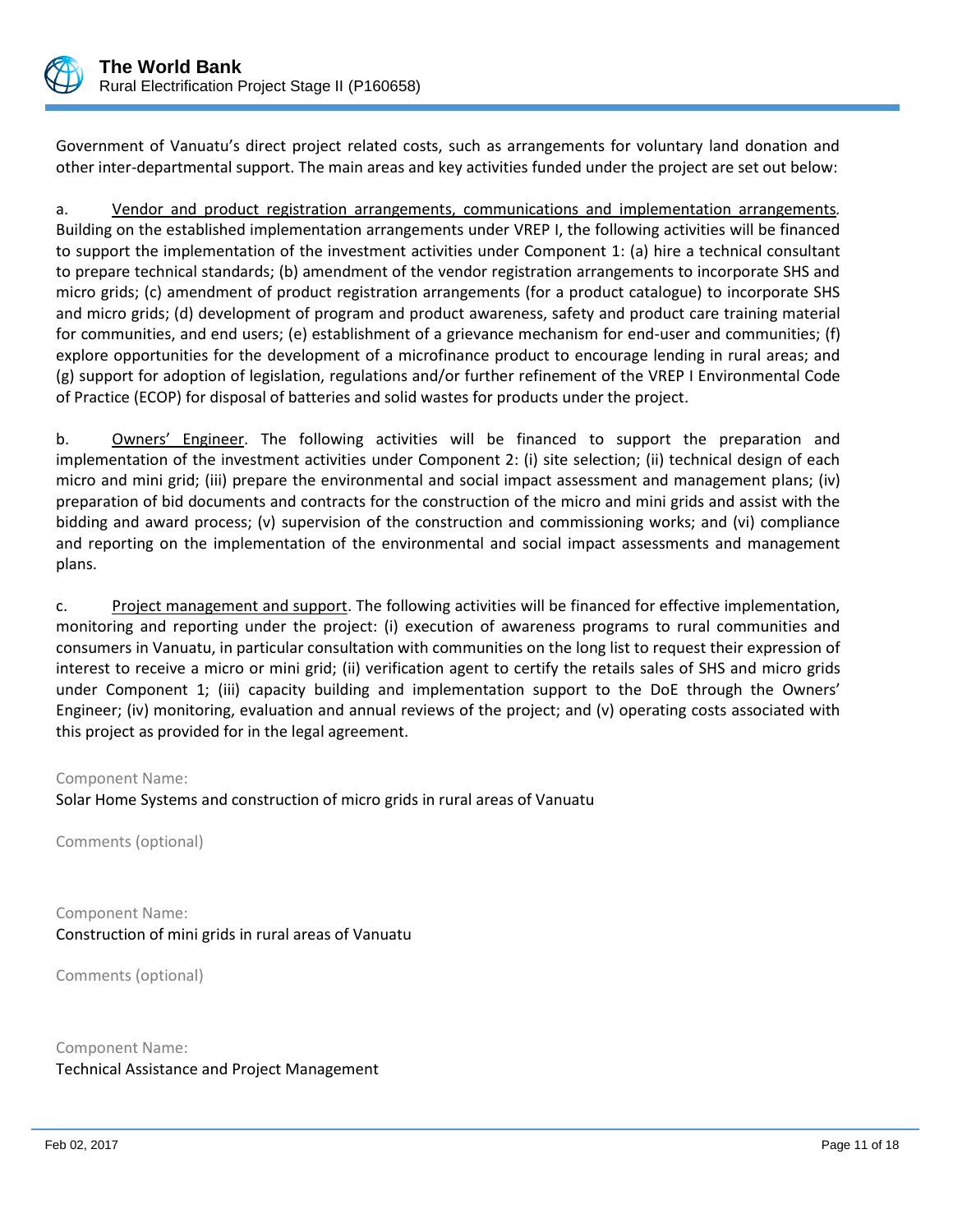

Government of Vanuatu's direct project related costs, such as arrangements for voluntary land donation and other inter-departmental support. The main areas and key activities funded under the project are set out below:

a. Vendor and product registration arrangements, communications and implementation arrangements*.* Building on the established implementation arrangements under VREP I, the following activities will be financed to support the implementation of the investment activities under Component 1: (a) hire a technical consultant to prepare technical standards; (b) amendment of the vendor registration arrangements to incorporate SHS and micro grids; (c) amendment of product registration arrangements (for a product catalogue) to incorporate SHS and micro grids; (d) development of program and product awareness, safety and product care training material for communities, and end users; (e) establishment of a grievance mechanism for end-user and communities; (f) explore opportunities for the development of a microfinance product to encourage lending in rural areas; and (g) support for adoption of legislation, regulations and/or further refinement of the VREP I Environmental Code of Practice (ECOP) for disposal of batteries and solid wastes for products under the project.

b. Owners' Engineer. The following activities will be financed to support the preparation and implementation of the investment activities under Component 2: (i) site selection; (ii) technical design of each micro and mini grid; (iii) prepare the environmental and social impact assessment and management plans; (iv) preparation of bid documents and contracts for the construction of the micro and mini grids and assist with the bidding and award process; (v) supervision of the construction and commissioning works; and (vi) compliance and reporting on the implementation of the environmental and social impact assessments and management plans.

c. Project management and support. The following activities will be financed for effective implementation, monitoring and reporting under the project: (i) execution of awareness programs to rural communities and consumers in Vanuatu, in particular consultation with communities on the long list to request their expression of interest to receive a micro or mini grid; (ii) verification agent to certify the retails sales of SHS and micro grids under Component 1; (iii) capacity building and implementation support to the DoE through the Owners' Engineer; (iv) monitoring, evaluation and annual reviews of the project; and (v) operating costs associated with this project as provided for in the legal agreement.

#### Component Name:

Solar Home Systems and construction of micro grids in rural areas of Vanuatu

Comments (optional)

Component Name: Construction of mini grids in rural areas of Vanuatu

Comments (optional)

Component Name: Technical Assistance and Project Management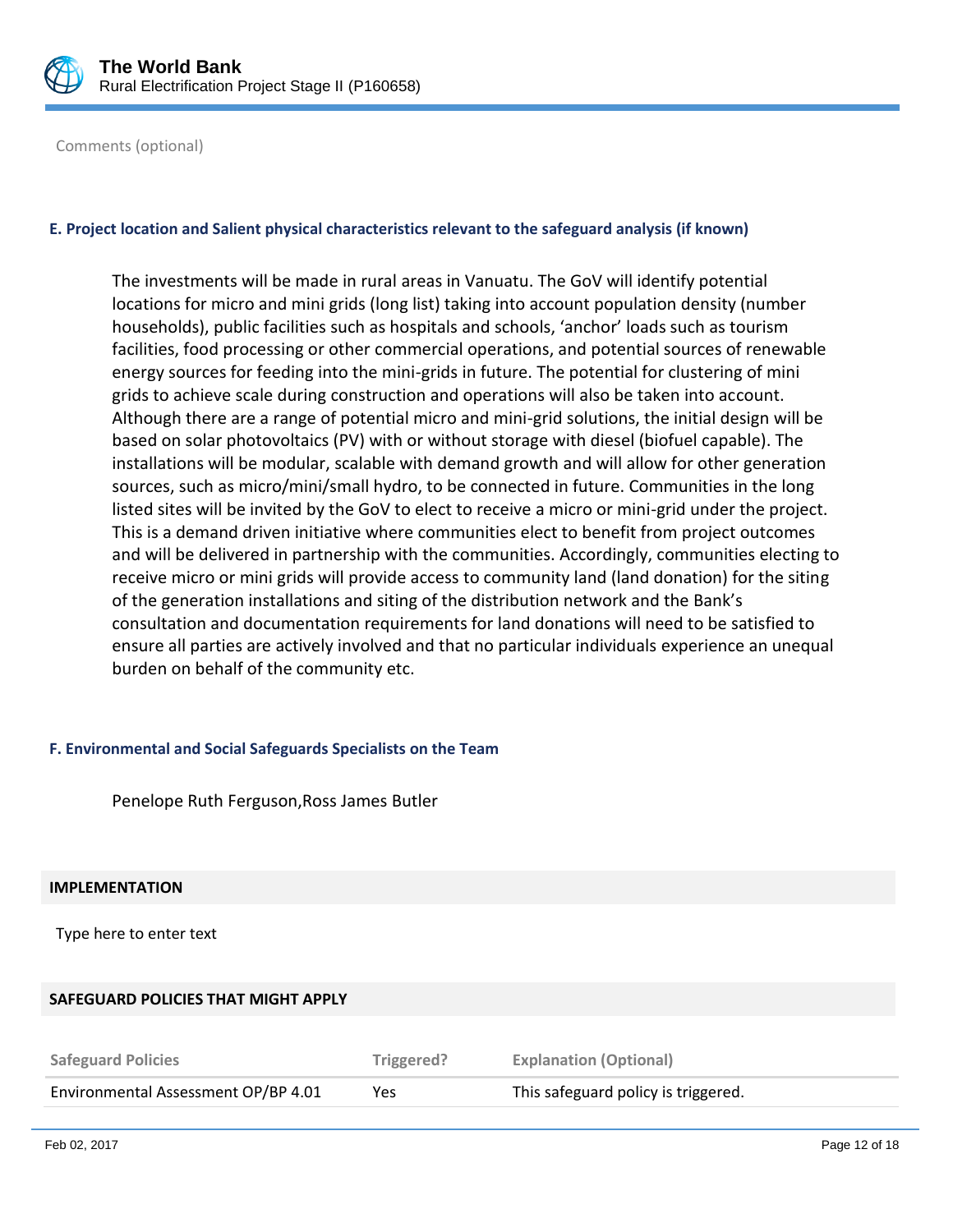

Comments (optional)

#### **E. Project location and Salient physical characteristics relevant to the safeguard analysis (if known)**

The investments will be made in rural areas in Vanuatu. The GoV will identify potential locations for micro and mini grids (long list) taking into account population density (number households), public facilities such as hospitals and schools, 'anchor' loads such as tourism facilities, food processing or other commercial operations, and potential sources of renewable energy sources for feeding into the mini-grids in future. The potential for clustering of mini grids to achieve scale during construction and operations will also be taken into account. Although there are a range of potential micro and mini-grid solutions, the initial design will be based on solar photovoltaics (PV) with or without storage with diesel (biofuel capable). The installations will be modular, scalable with demand growth and will allow for other generation sources, such as micro/mini/small hydro, to be connected in future. Communities in the long listed sites will be invited by the GoV to elect to receive a micro or mini-grid under the project. This is a demand driven initiative where communities elect to benefit from project outcomes and will be delivered in partnership with the communities. Accordingly, communities electing to receive micro or mini grids will provide access to community land (land donation) for the siting of the generation installations and siting of the distribution network and the Bank's consultation and documentation requirements for land donations will need to be satisfied to ensure all parties are actively involved and that no particular individuals experience an unequal burden on behalf of the community etc.

#### **F. Environmental and Social Safeguards Specialists on the Team**

Penelope Ruth Ferguson,Ross James Butler

#### **IMPLEMENTATION**

Type here to enter text

#### **SAFEGUARD POLICIES THAT MIGHT APPLY**

| <b>Safeguard Policies</b>           | Triggered? | <b>Explanation (Optional)</b>       |
|-------------------------------------|------------|-------------------------------------|
| Environmental Assessment OP/BP 4.01 | Yes        | This safeguard policy is triggered. |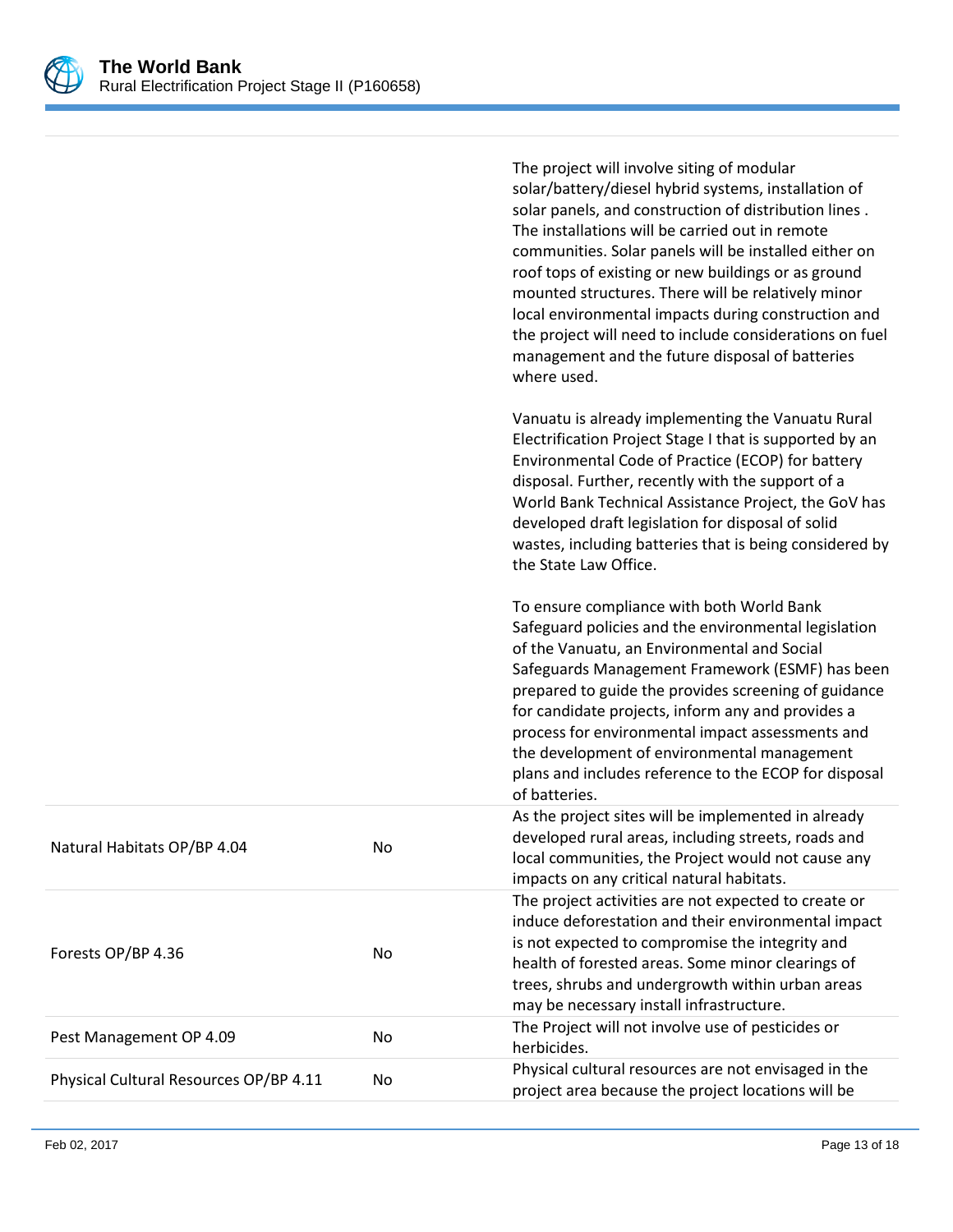

|                                        |    | The project will involve siting of modular<br>solar/battery/diesel hybrid systems, installation of<br>solar panels, and construction of distribution lines.<br>The installations will be carried out in remote<br>communities. Solar panels will be installed either on<br>roof tops of existing or new buildings or as ground<br>mounted structures. There will be relatively minor<br>local environmental impacts during construction and<br>the project will need to include considerations on fuel<br>management and the future disposal of batteries<br>where used. |
|----------------------------------------|----|--------------------------------------------------------------------------------------------------------------------------------------------------------------------------------------------------------------------------------------------------------------------------------------------------------------------------------------------------------------------------------------------------------------------------------------------------------------------------------------------------------------------------------------------------------------------------|
|                                        |    | Vanuatu is already implementing the Vanuatu Rural<br>Electrification Project Stage I that is supported by an<br>Environmental Code of Practice (ECOP) for battery<br>disposal. Further, recently with the support of a<br>World Bank Technical Assistance Project, the GoV has<br>developed draft legislation for disposal of solid<br>wastes, including batteries that is being considered by<br>the State Law Office.                                                                                                                                                  |
|                                        |    | To ensure compliance with both World Bank<br>Safeguard policies and the environmental legislation<br>of the Vanuatu, an Environmental and Social<br>Safeguards Management Framework (ESMF) has been<br>prepared to guide the provides screening of guidance<br>for candidate projects, inform any and provides a<br>process for environmental impact assessments and<br>the development of environmental management<br>plans and includes reference to the ECOP for disposal<br>of batteries.                                                                            |
| Natural Habitats OP/BP 4.04            | No | As the project sites will be implemented in already<br>developed rural areas, including streets, roads and<br>local communities, the Project would not cause any<br>impacts on any critical natural habitats.                                                                                                                                                                                                                                                                                                                                                            |
| Forests OP/BP 4.36                     | No | The project activities are not expected to create or<br>induce deforestation and their environmental impact<br>is not expected to compromise the integrity and<br>health of forested areas. Some minor clearings of<br>trees, shrubs and undergrowth within urban areas<br>may be necessary install infrastructure.                                                                                                                                                                                                                                                      |
| Pest Management OP 4.09                | No | The Project will not involve use of pesticides or<br>herbicides.                                                                                                                                                                                                                                                                                                                                                                                                                                                                                                         |
| Physical Cultural Resources OP/BP 4.11 | No | Physical cultural resources are not envisaged in the<br>project area because the project locations will be                                                                                                                                                                                                                                                                                                                                                                                                                                                               |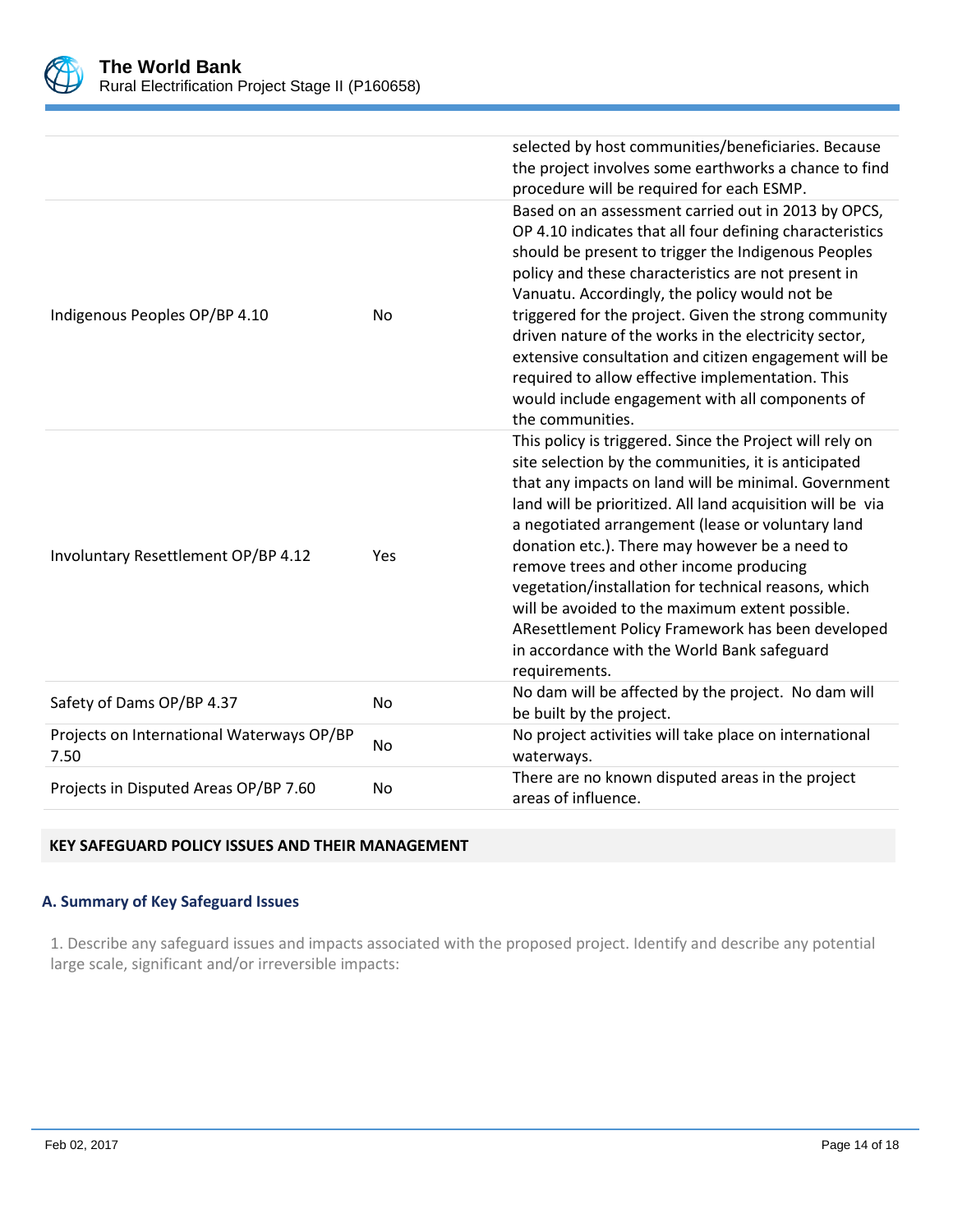

|                                                   |           | selected by host communities/beneficiaries. Because<br>the project involves some earthworks a chance to find<br>procedure will be required for each ESMP.                                                                                                                                                                                                                                                                                                                                                                                                                                                                |
|---------------------------------------------------|-----------|--------------------------------------------------------------------------------------------------------------------------------------------------------------------------------------------------------------------------------------------------------------------------------------------------------------------------------------------------------------------------------------------------------------------------------------------------------------------------------------------------------------------------------------------------------------------------------------------------------------------------|
| Indigenous Peoples OP/BP 4.10                     | No        | Based on an assessment carried out in 2013 by OPCS,<br>OP 4.10 indicates that all four defining characteristics<br>should be present to trigger the Indigenous Peoples<br>policy and these characteristics are not present in<br>Vanuatu. Accordingly, the policy would not be<br>triggered for the project. Given the strong community<br>driven nature of the works in the electricity sector,<br>extensive consultation and citizen engagement will be<br>required to allow effective implementation. This<br>would include engagement with all components of<br>the communities.                                     |
| Involuntary Resettlement OP/BP 4.12               | Yes       | This policy is triggered. Since the Project will rely on<br>site selection by the communities, it is anticipated<br>that any impacts on land will be minimal. Government<br>land will be prioritized. All land acquisition will be via<br>a negotiated arrangement (lease or voluntary land<br>donation etc.). There may however be a need to<br>remove trees and other income producing<br>vegetation/installation for technical reasons, which<br>will be avoided to the maximum extent possible.<br>AResettlement Policy Framework has been developed<br>in accordance with the World Bank safeguard<br>requirements. |
| Safety of Dams OP/BP 4.37                         | No        | No dam will be affected by the project. No dam will<br>be built by the project.                                                                                                                                                                                                                                                                                                                                                                                                                                                                                                                                          |
| Projects on International Waterways OP/BP<br>7.50 | <b>No</b> | No project activities will take place on international<br>waterways.                                                                                                                                                                                                                                                                                                                                                                                                                                                                                                                                                     |
| Projects in Disputed Areas OP/BP 7.60             | No        | There are no known disputed areas in the project<br>areas of influence.                                                                                                                                                                                                                                                                                                                                                                                                                                                                                                                                                  |

## **KEY SAFEGUARD POLICY ISSUES AND THEIR MANAGEMENT**

## **A. Summary of Key Safeguard Issues**

1. Describe any safeguard issues and impacts associated with the proposed project. Identify and describe any potential large scale, significant and/or irreversible impacts: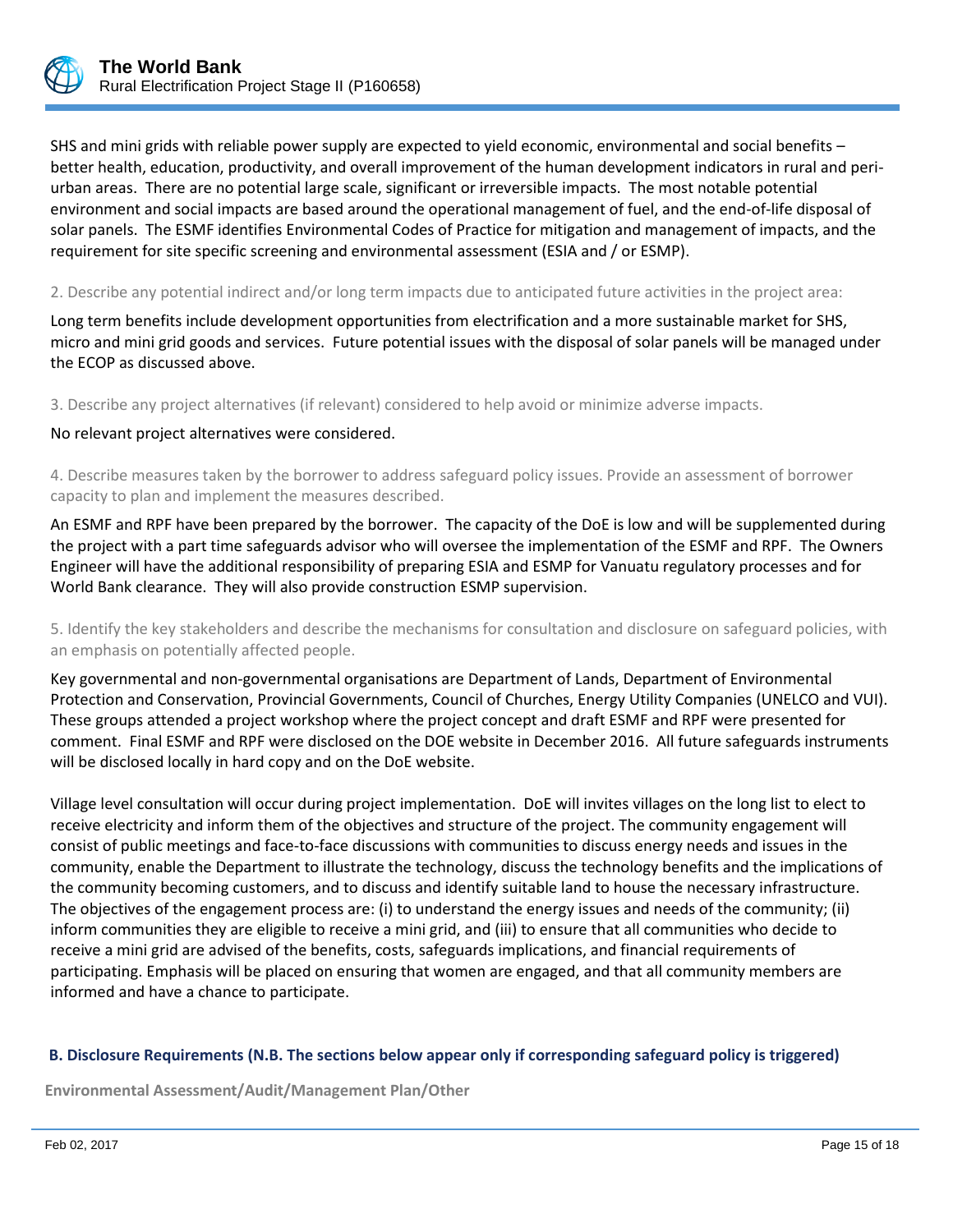

SHS and mini grids with reliable power supply are expected to yield economic, environmental and social benefits – better health, education, productivity, and overall improvement of the human development indicators in rural and periurban areas. There are no potential large scale, significant or irreversible impacts. The most notable potential environment and social impacts are based around the operational management of fuel, and the end-of-life disposal of solar panels. The ESMF identifies Environmental Codes of Practice for mitigation and management of impacts, and the requirement for site specific screening and environmental assessment (ESIA and / or ESMP).

2. Describe any potential indirect and/or long term impacts due to anticipated future activities in the project area:

Long term benefits include development opportunities from electrification and a more sustainable market for SHS, micro and mini grid goods and services. Future potential issues with the disposal of solar panels will be managed under the ECOP as discussed above.

3. Describe any project alternatives (if relevant) considered to help avoid or minimize adverse impacts.

No relevant project alternatives were considered.

4. Describe measures taken by the borrower to address safeguard policy issues. Provide an assessment of borrower capacity to plan and implement the measures described.

An ESMF and RPF have been prepared by the borrower. The capacity of the DoE is low and will be supplemented during the project with a part time safeguards advisor who will oversee the implementation of the ESMF and RPF. The Owners Engineer will have the additional responsibility of preparing ESIA and ESMP for Vanuatu regulatory processes and for World Bank clearance. They will also provide construction ESMP supervision.

5. Identify the key stakeholders and describe the mechanisms for consultation and disclosure on safeguard policies, with an emphasis on potentially affected people.

Key governmental and non-governmental organisations are Department of Lands, Department of Environmental Protection and Conservation, Provincial Governments, Council of Churches, Energy Utility Companies (UNELCO and VUI). These groups attended a project workshop where the project concept and draft ESMF and RPF were presented for comment. Final ESMF and RPF were disclosed on the DOE website in December 2016. All future safeguards instruments will be disclosed locally in hard copy and on the DoE website.

Village level consultation will occur during project implementation. DoE will invites villages on the long list to elect to receive electricity and inform them of the objectives and structure of the project. The community engagement will consist of public meetings and face-to-face discussions with communities to discuss energy needs and issues in the community, enable the Department to illustrate the technology, discuss the technology benefits and the implications of the community becoming customers, and to discuss and identify suitable land to house the necessary infrastructure. The objectives of the engagement process are: (i) to understand the energy issues and needs of the community; (ii) inform communities they are eligible to receive a mini grid, and (iii) to ensure that all communities who decide to receive a mini grid are advised of the benefits, costs, safeguards implications, and financial requirements of participating. Emphasis will be placed on ensuring that women are engaged, and that all community members are informed and have a chance to participate.

#### **B. Disclosure Requirements (N.B. The sections below appear only if corresponding safeguard policy is triggered)**

**Environmental Assessment/Audit/Management Plan/Other**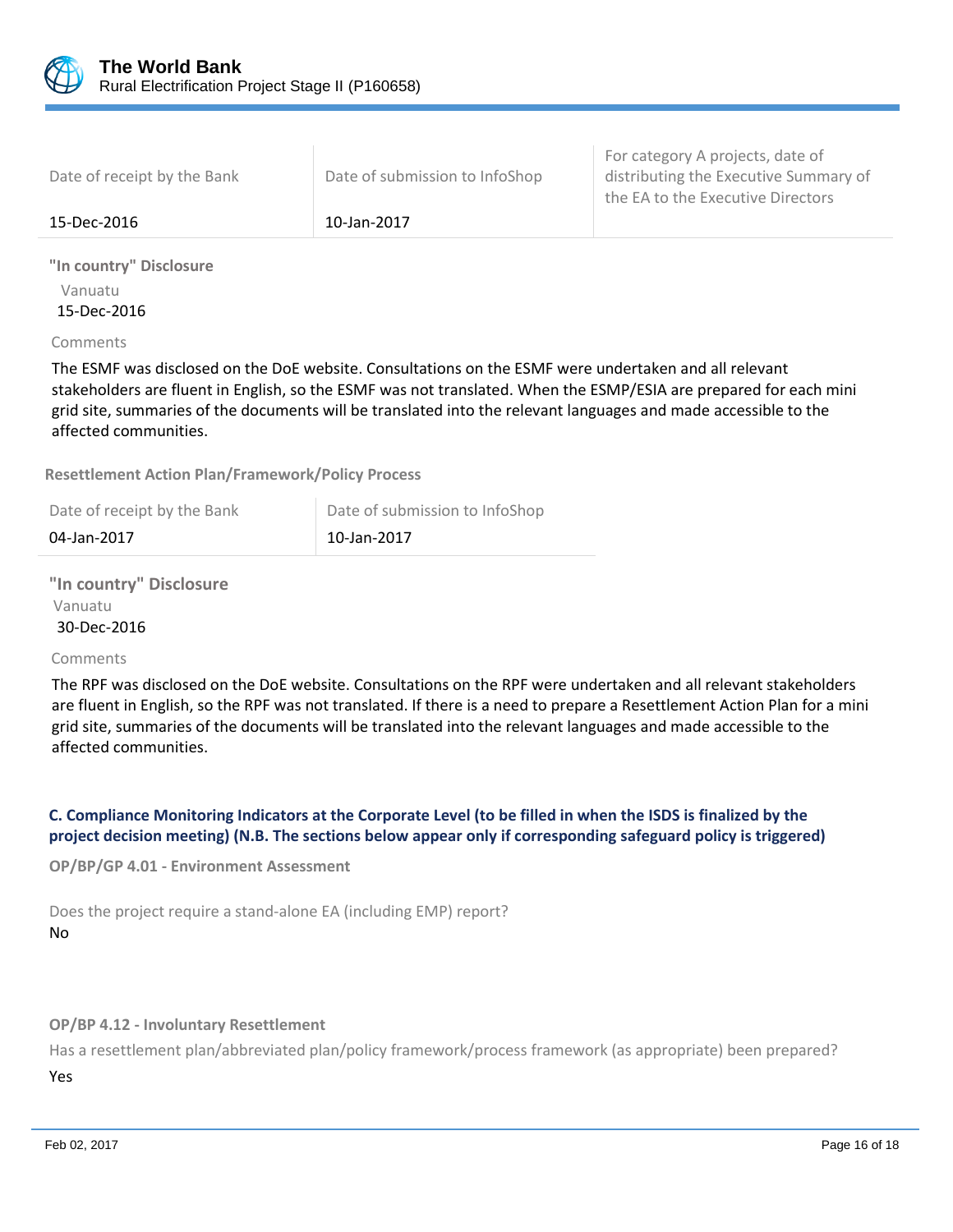

| 15-Dec-2016                 | 10-Jan-2017                    |                                                                                                                |
|-----------------------------|--------------------------------|----------------------------------------------------------------------------------------------------------------|
| Date of receipt by the Bank | Date of submission to InfoShop | For category A projects, date of<br>distributing the Executive Summary of<br>the EA to the Executive Directors |

**"In country" Disclosure** Vanuatu 15-Dec-2016

Comments

The ESMF was disclosed on the DoE website. Consultations on the ESMF were undertaken and all relevant stakeholders are fluent in English, so the ESMF was not translated. When the ESMP/ESIA are prepared for each mini grid site, summaries of the documents will be translated into the relevant languages and made accessible to the affected communities.

**Resettlement Action Plan/Framework/Policy Process**

| Date of receipt by the Bank | Date of submission to InfoShop |
|-----------------------------|--------------------------------|
| 04-Jan-2017                 | 10-Jan-2017                    |

**"In country" Disclosure** Vanuatu 30-Dec-2016

#### Comments

The RPF was disclosed on the DoE website. Consultations on the RPF were undertaken and all relevant stakeholders are fluent in English, so the RPF was not translated. If there is a need to prepare a Resettlement Action Plan for a mini grid site, summaries of the documents will be translated into the relevant languages and made accessible to the affected communities.

# **C. Compliance Monitoring Indicators at the Corporate Level (to be filled in when the ISDS is finalized by the project decision meeting) (N.B. The sections below appear only if corresponding safeguard policy is triggered)**

**OP/BP/GP 4.01 - Environment Assessment**

Does the project require a stand-alone EA (including EMP) report? No

**OP/BP 4.12 - Involuntary Resettlement**

Has a resettlement plan/abbreviated plan/policy framework/process framework (as appropriate) been prepared? Yes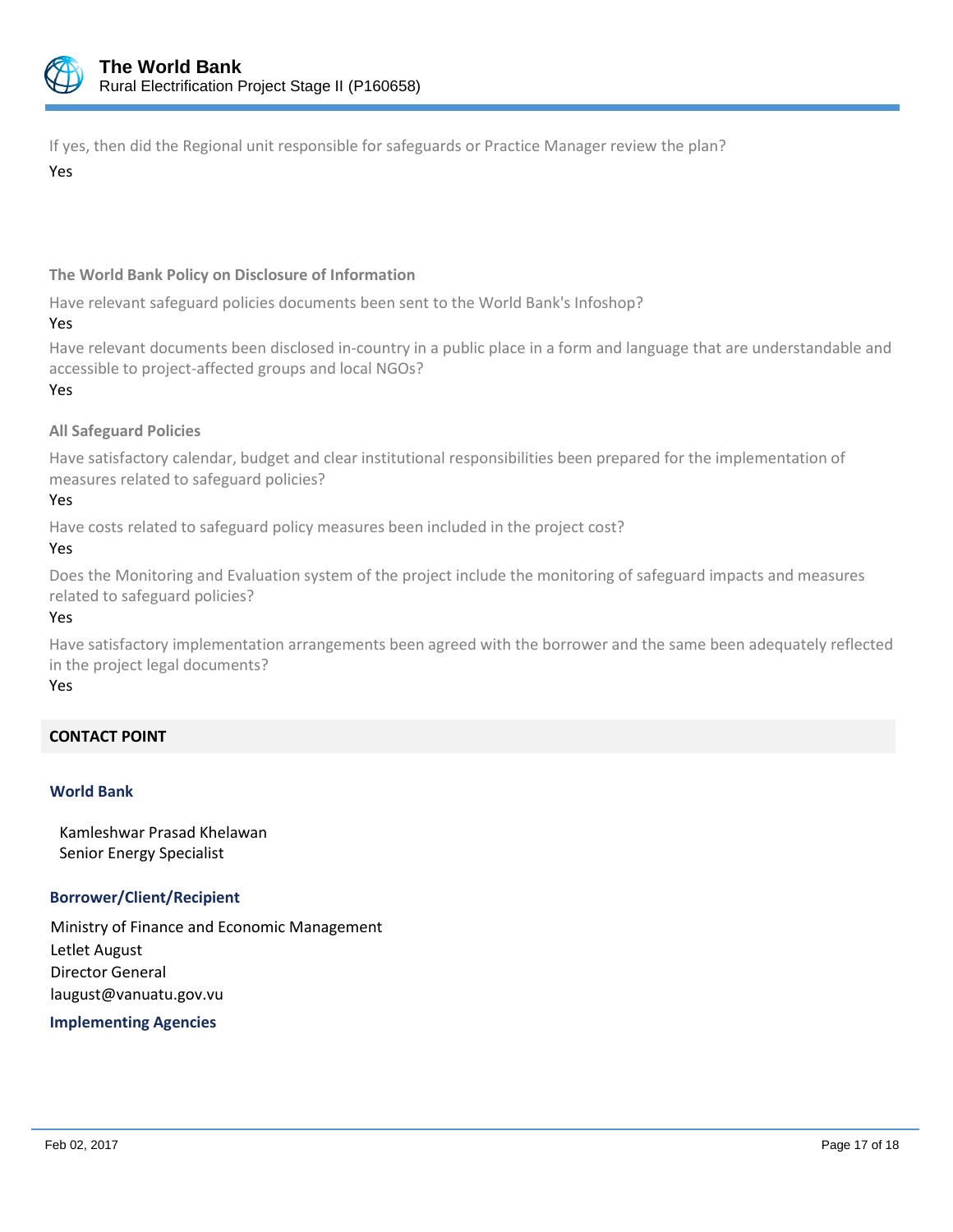

If yes, then did the Regional unit responsible for safeguards or Practice Manager review the plan?

Yes

# **The World Bank Policy on Disclosure of Information**

Have relevant safeguard policies documents been sent to the World Bank's Infoshop?

Yes

Have relevant documents been disclosed in-country in a public place in a form and language that are understandable and accessible to project-affected groups and local NGOs? Yes

# **All Safeguard Policies**

Have satisfactory calendar, budget and clear institutional responsibilities been prepared for the implementation of measures related to safeguard policies?

Yes

Have costs related to safeguard policy measures been included in the project cost?

Yes

Does the Monitoring and Evaluation system of the project include the monitoring of safeguard impacts and measures related to safeguard policies?

Yes

Have satisfactory implementation arrangements been agreed with the borrower and the same been adequately reflected in the project legal documents?

Yes

# **CONTACT POINT**

#### **World Bank**

Kamleshwar Prasad Khelawan Senior Energy Specialist

#### **Borrower/Client/Recipient**

Ministry of Finance and Economic Management Letlet August Director General laugust@vanuatu.gov.vu

 **Implementing Agencies**